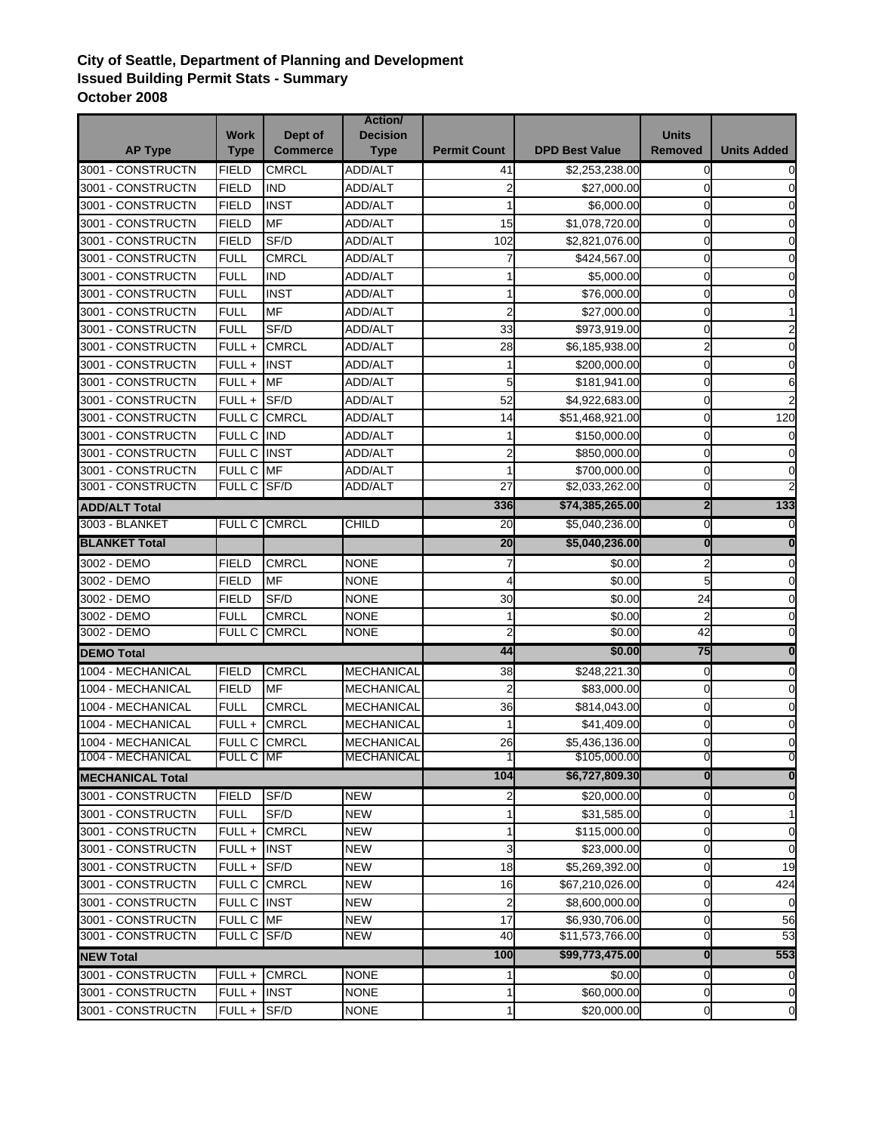## **City of Seattle, Department of Planning and Development Issued Building Permit Stats - Summary October 2008**

|                                        | <b>Work</b>     | Dept of         | Action/<br><b>Decision</b> |                     |                                | <b>Units</b>            |                         |
|----------------------------------------|-----------------|-----------------|----------------------------|---------------------|--------------------------------|-------------------------|-------------------------|
| <b>AP Type</b>                         | <b>Type</b>     | <b>Commerce</b> | <b>Type</b>                | <b>Permit Count</b> | <b>DPD Best Value</b>          | <b>Removed</b>          | <b>Units Added</b>      |
| 3001 - CONSTRUCTN                      | <b>FIELD</b>    | <b>CMRCL</b>    | ADD/ALT                    | 41                  | \$2,253,238.00                 | $\mathbf 0$             | 0                       |
| 3001 - CONSTRUCTN                      | <b>FIELD</b>    | <b>IND</b>      | <b>ADD/ALT</b>             |                     | \$27,000.00                    | 0                       | $\Omega$                |
| 3001 - CONSTRUCTN                      | <b>FIELD</b>    | <b>INST</b>     | ADD/ALT                    |                     | \$6,000.00                     | 0                       | 0                       |
| 3001 - CONSTRUCTN                      | FIELD           | <b>MF</b>       | ADD/ALT                    | 15                  | \$1,078,720.00                 | 0                       | 0                       |
| 3001 - CONSTRUCTN                      | <b>FIELD</b>    | SF/D            | ADD/ALT                    | 102                 | \$2,821,076.00                 | $\overline{0}$          | 0                       |
| 3001 - CONSTRUCTN                      | <b>FULL</b>     | <b>CMRCL</b>    | <b>ADD/ALT</b>             |                     | \$424,567.00                   | 0                       | 0                       |
| 3001 - CONSTRUCTN                      | <b>FULL</b>     | <b>IND</b>      | <b>ADD/ALT</b>             |                     | \$5,000.00                     | 0                       | 0                       |
| 3001 - CONSTRUCTN                      | <b>FULL</b>     | <b>INST</b>     | <b>ADD/ALT</b>             |                     | \$76,000.00                    | $\overline{0}$          | 0                       |
| 3001 - CONSTRUCTN                      | <b>FULL</b>     | <b>MF</b>       | <b>ADD/ALT</b>             | 2                   | \$27,000.00                    | $\mathbf 0$             |                         |
| 3001 - CONSTRUCTN                      | <b>FULL</b>     | SF/D            | ADD/ALT                    | 33                  | \$973,919.00                   | 0                       |                         |
| 3001 - CONSTRUCTN                      | FULL +          | <b>CMRCL</b>    | ADD/ALT                    | 28                  | \$6,185,938.00                 | $\overline{a}$          | 0                       |
| 3001 - CONSTRUCTN                      | FULL+           | <b>INST</b>     | ADD/ALT                    |                     | \$200,000.00                   | $\overline{0}$          | $\overline{0}$          |
| 3001 - CONSTRUCTN                      | FULL +          | <b>MF</b>       | ADD/ALT                    | 5                   | \$181,941.00                   | 0                       | 6                       |
| 3001 - CONSTRUCTN                      | FULL +          | SF/D            | ADD/ALT                    | 52                  | \$4,922,683.00                 | 0                       | $\overline{2}$          |
| 3001 - CONSTRUCTN                      | FULL C CMRCL    |                 | ADD/ALT                    | 14                  | \$51,468,921.00                | $\overline{0}$          | 120                     |
| 3001 - CONSTRUCTN                      | FULL C IND      |                 | ADD/ALT                    |                     | \$150,000.00                   | $\overline{0}$          | $\mathbf 0$             |
| 3001 - CONSTRUCTN                      | FULL C INST     |                 | <b>ADD/ALT</b>             | 2                   | \$850,000.00                   | 0                       | $\mathbf 0$             |
| 3001 - CONSTRUCTN                      | FULL C MF       |                 | ADD/ALT                    |                     |                                | $\overline{0}$          | $\overline{0}$          |
| 3001 - CONSTRUCTN                      | FULL C SF/D     |                 | <b>ADD/ALT</b>             | 27                  | \$700,000.00<br>\$2,033,262.00 | 0                       |                         |
|                                        |                 |                 |                            | 336                 | \$74,385,265.00                | $\overline{\mathbf{c}}$ | 133                     |
| <b>ADD/ALT Total</b>                   | <b>FULL C</b>   |                 | <b>CHILD</b>               |                     |                                |                         |                         |
| 3003 - BLANKET<br><b>BLANKET Total</b> |                 | <b>CMRCL</b>    |                            | 20<br>20            | \$5,040,236.00                 | 0<br>$\mathbf{0}$       |                         |
|                                        |                 |                 |                            |                     | \$5,040,236.00                 |                         | $\bf{0}$                |
| 3002 - DEMO                            | <b>FIELD</b>    | <b>CMRCL</b>    | <b>NONE</b>                |                     | \$0.00                         | $\overline{a}$          | 0                       |
| 3002 - DEMO                            | <b>FIELD</b>    | MF              | <b>NONE</b>                |                     | \$0.00                         | 5 <sup>1</sup>          | $\mathbf 0$             |
| 3002 - DEMO                            | <b>FIELD</b>    | SF/D            | <b>NONE</b>                | 30                  | \$0.00                         | 24                      | $\overline{0}$          |
| 3002 - DEMO                            | <b>FULL</b>     | <b>CMRCL</b>    | <b>NONE</b>                |                     | \$0.00                         | $\overline{a}$          | $\overline{0}$          |
| 3002 - DEMO                            | FULL C CMRCL    |                 | <b>NONE</b>                |                     | \$0.00                         | 42                      | $\mathbf 0$             |
| <b>DEMO Total</b>                      |                 |                 |                            | 44                  | \$0.00                         | 75                      | $\bf{0}$                |
| 1004 - MECHANICAL                      | <b>FIELD</b>    | <b>CMRCL</b>    | <b>MECHANICAL</b>          | 38                  | \$248,221.30                   | $\overline{0}$          | 0                       |
| 1004 - MECHANICAL                      | <b>FIELD</b>    | <b>MF</b>       | <b>MECHANICAL</b>          | $\overline{2}$      | \$83,000.00                    | $\overline{0}$          | $\overline{0}$          |
| 1004 - MECHANICAL                      | <b>FULL</b>     | <b>CMRCL</b>    | <b>MECHANICAL</b>          | 36                  | \$814,043.00                   | $\overline{0}$          | 0                       |
| 1004 - MECHANICAL                      | FULL+           | <b>CMRCL</b>    | <b>MECHANICAL</b>          |                     | \$41,409.00                    | 0                       | $\Omega$                |
| 1004 - MECHANICAL                      | FULL C CMRCL    |                 | MECHANICAL                 | 26                  | \$5,436,136.00                 | 0                       | $\Omega$                |
| 1004 - MECHANICAL                      | FULL C MF       |                 | <b>MECHANICAL</b>          |                     | \$105,000.00                   | o.                      | U                       |
| <b>MECHANICAL Total</b>                |                 |                 |                            | 104                 | \$6,727,809.30                 | $\bf{0}$                | $\overline{\mathbf{0}}$ |
| 3001 - CONSTRUCTN                      | <b>FIELD</b>    | SF/D            | <b>NEW</b>                 | 2                   | \$20,000.00                    | $\overline{0}$          | 0                       |
| 3001 - CONSTRUCTN                      | <b>FULL</b>     | SF/D            | <b>NEW</b>                 |                     | \$31,585.00                    | 0                       | $\mathbf{1}$            |
| 3001 - CONSTRUCTN                      |                 | FULL + CMRCL    | <b>NEW</b>                 |                     | \$115,000.00                   | 0                       | $\mathbf 0$             |
| 3001 - CONSTRUCTN                      | FULL +          | <b>INST</b>     | <b>NEW</b>                 | 3                   | \$23,000.00                    | 0                       | $\overline{0}$          |
| 3001 - CONSTRUCTN                      | $FULL + S F/D$  |                 | <b>NEW</b>                 | 18                  | \$5,269,392.00                 | 0                       | 19                      |
| 3001 - CONSTRUCTN                      |                 | FULL C CMRCL    | <b>NEW</b>                 | 16                  | \$67,210,026.00                | 0                       | 424                     |
| 3001 - CONSTRUCTN                      | FULL C INST     |                 | <b>NEW</b>                 |                     | \$8,600,000.00                 | 0                       | $\Omega$                |
| 3001 - CONSTRUCTN                      | FULL C MF       |                 | <b>NEW</b>                 | 17                  | \$6,930,706.00                 | 0                       | 56                      |
| 3001 - CONSTRUCTN                      | FULL C SF/D     |                 | <b>NEW</b>                 | 40                  | \$11,573,766.00                | 0                       | 53                      |
| <b>NEW Total</b>                       |                 |                 |                            | 100                 | \$99,773,475.00                | $\mathbf{0}$            | 553                     |
| 3001 - CONSTRUCTN                      | FULL +          | <b>CMRCL</b>    | <b>NONE</b>                |                     | \$0.00                         | $\overline{0}$          | 0                       |
| 3001 - CONSTRUCTN                      | $FULL +$ INST   |                 | <b>NONE</b>                |                     | \$60,000.00                    | $\overline{0}$          | $\mathbf 0$             |
| 3001 - CONSTRUCTN                      | $FULL +  S F/D$ |                 | <b>NONE</b>                |                     | \$20,000.00                    | <sub>0</sub>            | $\mathbf 0$             |